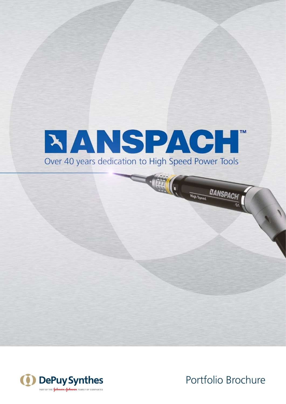

**Ain (1)** 



Portfolio Brochure

**ETANSPACH** 

**High Speed**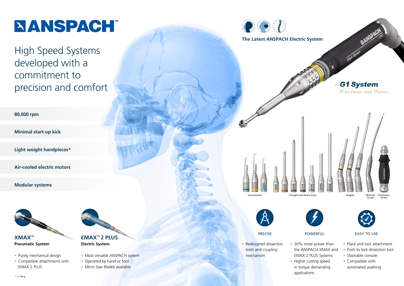- Purely mechanical design
- Compatible attachments with **EMAX 2 PLUS**

# **NANSPACH**

High Speed Systems developed with a commitment to precision and comfort

**XMAX™ Pneumatic System**

- Most versatile ANSPACH system
- Operated by hand or foot
- Micro Saw Blades available





- Place and lock attachment
- Push to lock dissection tool
- Stackable console
- Compatible with automated washing

**80,000 rpm**

**Minimal start-up kick**

**Light weight handpieces\***

**Air-cooled electric motors**







• Redesigned dissection tools and coupling mechanism

• 30% more power than the ANSPACH XMAX and EMAX 2 PLUS Systems • Higher cutting speed in torque demanding applications



## PRECISE POWERFUL EASY TO USE

**Modular systems**